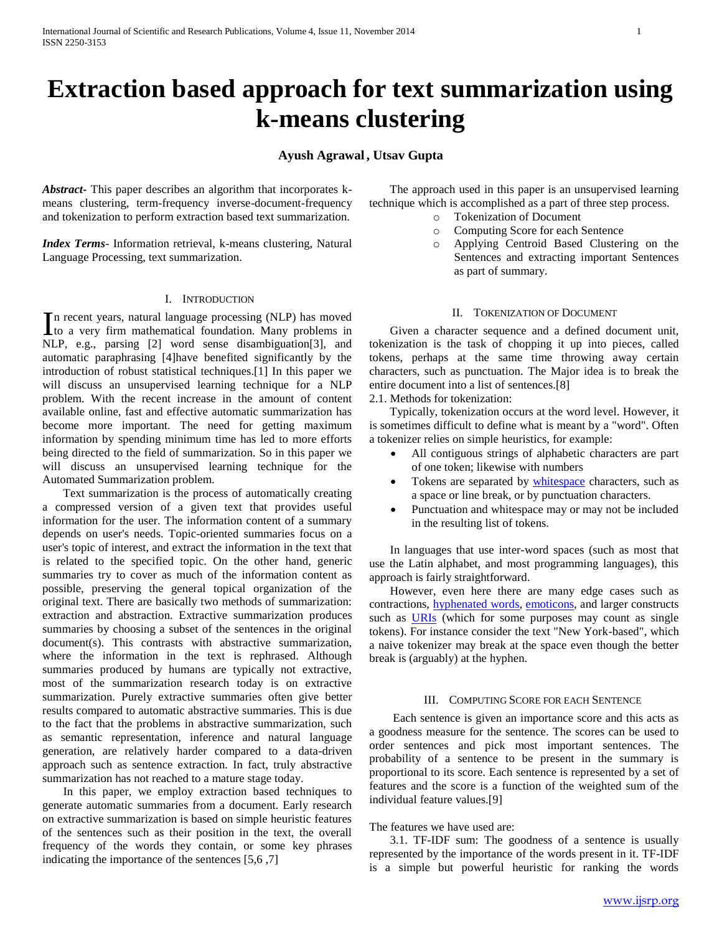# **Extraction based approach for text summarization using k-means clustering**

# **Ayush Agrawal , Utsav Gupta**

*Abstract***-** This paper describes an algorithm that incorporates kmeans clustering, term-frequency inverse-document-frequency and tokenization to perform extraction based text summarization.

*Index Terms*- Information retrieval, k-means clustering, Natural Language Processing, text summarization.

## I. INTRODUCTION

n recent years, natural language processing (NLP) has moved In recent years, natural language processing (NLP) has moved<br>to a very firm mathematical foundation. Many problems in NLP, e.g., parsing [2] word sense disambiguation[3], and automatic paraphrasing [4]have benefited significantly by the introduction of robust statistical techniques.[1] In this paper we will discuss an unsupervised learning technique for a NLP problem. With the recent increase in the amount of content available online, fast and effective automatic summarization has become more important. The need for getting maximum information by spending minimum time has led to more efforts being directed to the field of summarization. So in this paper we will discuss an unsupervised learning technique for the Automated Summarization problem.

 Text summarization is the process of automatically creating a compressed version of a given text that provides useful information for the user. The information content of a summary depends on user's needs. Topic-oriented summaries focus on a user's topic of interest, and extract the information in the text that is related to the specified topic. On the other hand, generic summaries try to cover as much of the information content as possible, preserving the general topical organization of the original text. There are basically two methods of summarization: extraction and abstraction. Extractive summarization produces summaries by choosing a subset of the sentences in the original document(s). This contrasts with abstractive summarization, where the information in the text is rephrased. Although summaries produced by humans are typically not extractive, most of the summarization research today is on extractive summarization. Purely extractive summaries often give better results compared to automatic abstractive summaries. This is due to the fact that the problems in abstractive summarization, such as semantic representation, inference and natural language generation, are relatively harder compared to a data-driven approach such as sentence extraction. In fact, truly abstractive summarization has not reached to a mature stage today.

 In this paper, we employ extraction based techniques to generate automatic summaries from a document. Early research on extractive summarization is based on simple heuristic features of the sentences such as their position in the text, the overall frequency of the words they contain, or some key phrases indicating the importance of the sentences [5,6 ,7]

 The approach used in this paper is an unsupervised learning technique which is accomplished as a part of three step process.

- o Tokenization of Document
- o Computing Score for each Sentence
- o Applying Centroid Based Clustering on the Sentences and extracting important Sentences as part of summary.

# II. TOKENIZATION OF DOCUMENT

 Given a character sequence and a defined document unit, tokenization is the task of chopping it up into pieces, called tokens, perhaps at the same time throwing away certain characters, such as punctuation. The Major idea is to break the entire document into a list of sentences.[8]

2.1. Methods for tokenization:

 Typically, tokenization occurs at the word level. However, it is sometimes difficult to define what is meant by a "word". Often a tokenizer relies on simple heuristics, for example:

- All contiguous strings of alphabetic characters are part of one token; likewise with numbers
- Tokens are separated by [whitespace](http://en.wikipedia.org/wiki/Whitespace_character) characters, such as a space or line break, or by punctuation characters.
- Punctuation and whitespace may or may not be included in the resulting list of tokens.

 In languages that use inter-word spaces (such as most that use the Latin alphabet, and most programming languages), this approach is fairly straightforward.

 However, even here there are many edge cases such as contractions, [hyphenated words,](http://en.wikipedia.org/wiki/Hyphen) [emoticons,](http://en.wikipedia.org/wiki/Emoticons) and larger constructs such as [URIs](http://en.wikipedia.org/wiki/URI) (which for some purposes may count as single tokens). For instance consider the text "New York-based", which a naive tokenizer may break at the space even though the better break is (arguably) at the hyphen.

### III. COMPUTING SCORE FOR EACH SENTENCE

 Each sentence is given an importance score and this acts as a goodness measure for the sentence. The scores can be used to order sentences and pick most important sentences. The probability of a sentence to be present in the summary is proportional to its score. Each sentence is represented by a set of features and the score is a function of the weighted sum of the individual feature values.[9]

## The features we have used are:

 3.1. TF-IDF sum: The goodness of a sentence is usually represented by the importance of the words present in it. TF-IDF is a simple but powerful heuristic for ranking the words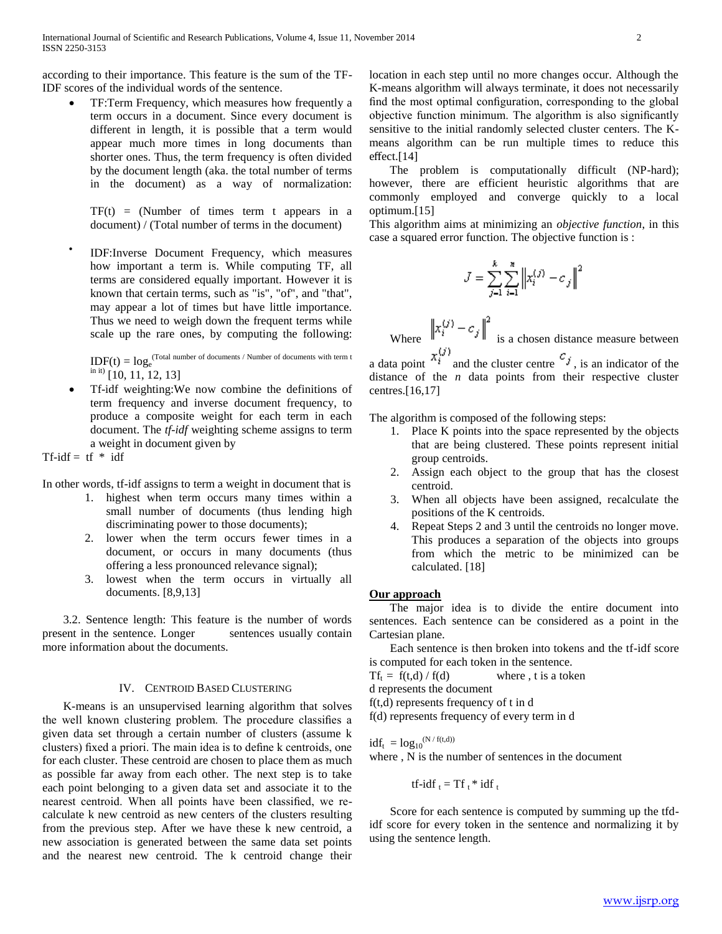according to their importance. This feature is the sum of the TF-IDF scores of the individual words of the sentence.

 TF:Term Frequency, which measures how frequently a term occurs in a document. Since every document is different in length, it is possible that a term would appear much more times in long documents than shorter ones. Thus, the term frequency is often divided by the document length (aka. the total number of terms in the document) as a way of normalization:

 $TF(t) = (Number of times term t appears in a$ document) / (Total number of terms in the document)

 $\bullet$ IDF:Inverse Document Frequency, which measures how important a term is. While computing TF, all terms are considered equally important. However it is known that certain terms, such as "is", "of", and "that", may appear a lot of times but have little importance. Thus we need to weigh down the frequent terms while scale up the rare ones, by computing the following:

 $IDF(t) = log<sub>e</sub><sup>(Total number of documents / Number of documents with term t)</sup>$  $\binom{10}{10}$  [10, 11, 12, 13]

 Tf-idf weighting:We now combine the definitions of term frequency and inverse document frequency, to produce a composite weight for each term in each document. The *tf-idf* weighting scheme assigns to term a weight in document given by

Tf-idf =  $tf * idf$ 

In other words, tf-idf assigns to term a weight in document that is

- 1. highest when term occurs many times within a small number of documents (thus lending high discriminating power to those documents);
- 2. lower when the term occurs fewer times in a document, or occurs in many documents (thus offering a less pronounced relevance signal);
- 3. lowest when the term occurs in virtually all documents. [8,9,13]

 3.2. Sentence length: This feature is the number of words present in the sentence. Longer sentences usually contain more information about the documents.

# IV. CENTROID BASED CLUSTERING

 K-means is an unsupervised learning algorithm that solves the well known clustering problem. The procedure classifies a given data set through a certain number of clusters (assume k clusters) fixed a priori. The main idea is to define k centroids, one for each cluster. These centroid are chosen to place them as much as possible far away from each other. The next step is to take each point belonging to a given data set and associate it to the nearest centroid. When all points have been classified, we recalculate k new centroid as new centers of the clusters resulting from the previous step. After we have these k new centroid, a new association is generated between the same data set points and the nearest new centroid. The k centroid change their

location in each step until no more changes occur. Although the K-means algorithm will always terminate, it does not necessarily find the most optimal configuration, corresponding to the global objective function minimum. The algorithm is also significantly sensitive to the initial randomly selected cluster centers. The Kmeans algorithm can be run multiple times to reduce this effect.[14]

 The problem is computationally difficult (NP-hard); however, there are efficient heuristic algorithms that are commonly employed and converge quickly to a local optimum.[15]

This algorithm aims at minimizing an *objective function*, in this case a squared error function. The objective function is :

$$
J=\sum_{j=1}^k\sum_{i=1}^n\left\|x_i^{(j)}-c_j\right\|^2
$$

Where  $\left\|x_i^{(j)} - c_j\right\|^2$  is a chosen distance measure between

a data point  $\alpha_i$  and the cluster centre  $\alpha_j$ , is an indicator of the distance of the *n* data points from their respective cluster centres.[16,17]

The algorithm is composed of the following steps:

- 1. Place K points into the space represented by the objects that are being clustered. These points represent initial group centroids.
- 2. Assign each object to the group that has the closest centroid.
- 3. When all objects have been assigned, recalculate the positions of the K centroids.
- 4. Repeat Steps 2 and 3 until the centroids no longer move. This produces a separation of the objects into groups from which the metric to be minimized can be calculated. [18]

# **Our approach**

 The major idea is to divide the entire document into sentences. Each sentence can be considered as a point in the Cartesian plane.

 Each sentence is then broken into tokens and the tf-idf score is computed for each token in the sentence.

 $Tf_t = f(t,d) / f(d)$  where, t is a token

d represents the document

f(t,d) represents frequency of t in d

f(d) represents frequency of every term in d

 $idf_t = log_{10}^{(N / f(t,d))}$ where , N is the number of sentences in the document

tf-idf
$$
_{t}
$$
 = Tf $_{t}$ \* idf $_{t}$ 

 Score for each sentence is computed by summing up the tfdidf score for every token in the sentence and normalizing it by using the sentence length.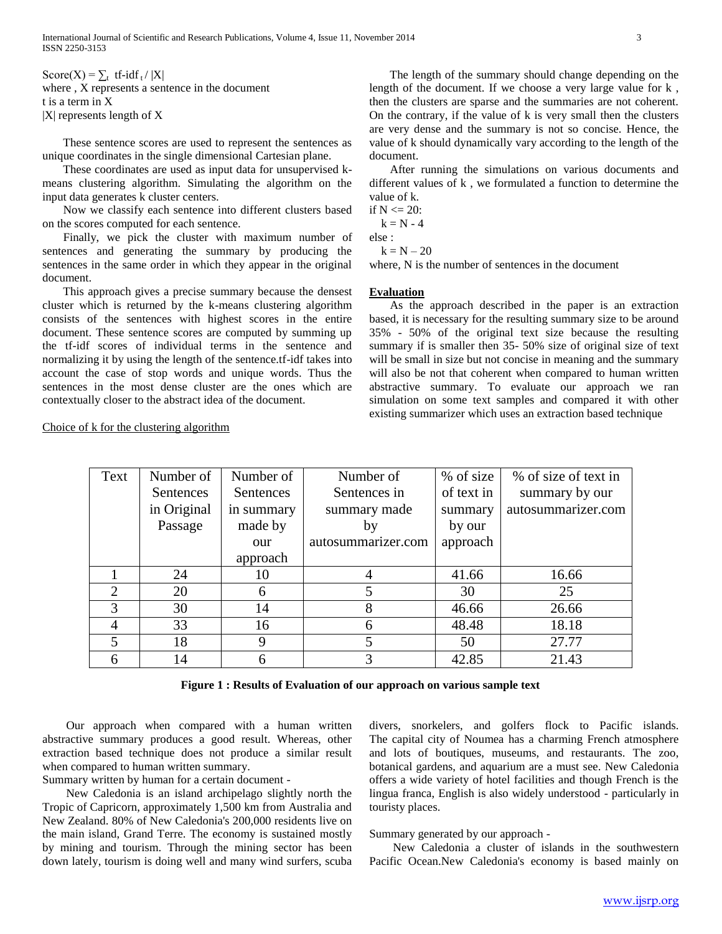Score(X) =  $\sum_{t}$  tf-idf<sub>t</sub>/ |X| where , X represents a sentence in the document t is a term in X |X| represents length of X

 These sentence scores are used to represent the sentences as unique coordinates in the single dimensional Cartesian plane.

 These coordinates are used as input data for unsupervised kmeans clustering algorithm. Simulating the algorithm on the input data generates k cluster centers.

 Now we classify each sentence into different clusters based on the scores computed for each sentence.

 Finally, we pick the cluster with maximum number of sentences and generating the summary by producing the sentences in the same order in which they appear in the original document.

 This approach gives a precise summary because the densest cluster which is returned by the k-means clustering algorithm consists of the sentences with highest scores in the entire document. These sentence scores are computed by summing up the tf-idf scores of individual terms in the sentence and normalizing it by using the length of the sentence.tf-idf takes into account the case of stop words and unique words. Thus the sentences in the most dense cluster are the ones which are contextually closer to the abstract idea of the document.

 The length of the summary should change depending on the length of the document. If we choose a very large value for k , then the clusters are sparse and the summaries are not coherent. On the contrary, if the value of k is very small then the clusters are very dense and the summary is not so concise. Hence, the value of k should dynamically vary according to the length of the document.

 After running the simulations on various documents and different values of k , we formulated a function to determine the value of k.

if  $N \le 20$ :

 $k = N - 4$ 

else :  $k = N - 20$ 

where, N is the number of sentences in the document

## **Evaluation**

 As the approach described in the paper is an extraction based, it is necessary for the resulting summary size to be around 35% - 50% of the original text size because the resulting summary if is smaller then 35- 50% size of original size of text will be small in size but not concise in meaning and the summary will also be not that coherent when compared to human written abstractive summary. To evaluate our approach we ran simulation on some text samples and compared it with other existing summarizer which uses an extraction based technique

| Text           | Number of   | Number of  | Number of          | % of size  | % of size of text in |
|----------------|-------------|------------|--------------------|------------|----------------------|
|                | Sentences   | Sentences  | Sentences in       | of text in | summary by our       |
|                | in Original | in summary | summary made       | summary    | autosummarizer.com   |
|                | Passage     | made by    | by                 | by our     |                      |
|                |             | our        | autosummarizer.com | approach   |                      |
|                |             | approach   |                    |            |                      |
|                | 24          | 10         |                    | 41.66      | 16.66                |
| $\overline{2}$ | 20          | 6          |                    | 30         | 25                   |
| 3              | 30          | 14         | 8                  | 46.66      | 26.66                |
| 4              | 33          | 16         | 6                  | 48.48      | 18.18                |
| 5              | 18          |            |                    | 50         | 27.77                |
| 6              | 14          |            |                    | 42.85      | 21.43                |

Choice of k for the clustering algorithm

**Figure 1 : Results of Evaluation of our approach on various sample text**

 Our approach when compared with a human written abstractive summary produces a good result. Whereas, other extraction based technique does not produce a similar result when compared to human written summary.

Summary written by human for a certain document -

 New Caledonia is an island archipelago slightly north the Tropic of Capricorn, approximately 1,500 km from Australia and New Zealand. 80% of New Caledonia's 200,000 residents live on the main island, Grand Terre. The economy is sustained mostly by mining and tourism. Through the mining sector has been down lately, tourism is doing well and many wind surfers, scuba

divers, snorkelers, and golfers flock to Pacific islands. The capital city of Noumea has a charming French atmosphere and lots of boutiques, museums, and restaurants. The zoo, botanical gardens, and aquarium are a must see. New Caledonia offers a wide variety of hotel facilities and though French is the lingua franca, English is also widely understood - particularly in touristy places.

Summary generated by our approach -

 New Caledonia a cluster of islands in the southwestern Pacific Ocean.New Caledonia's economy is based mainly on